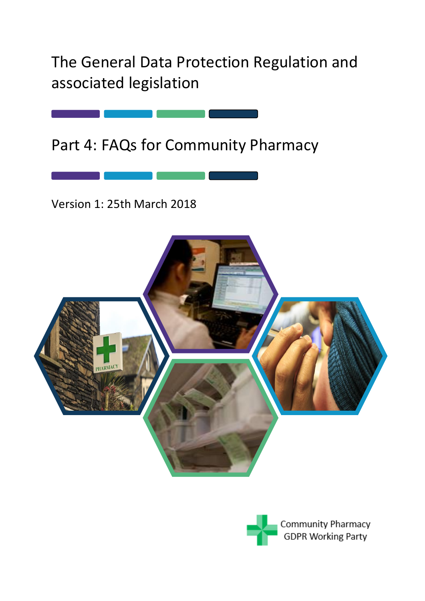The General Data Protection Regulation and associated legislation



Version 1: 25th March 2018



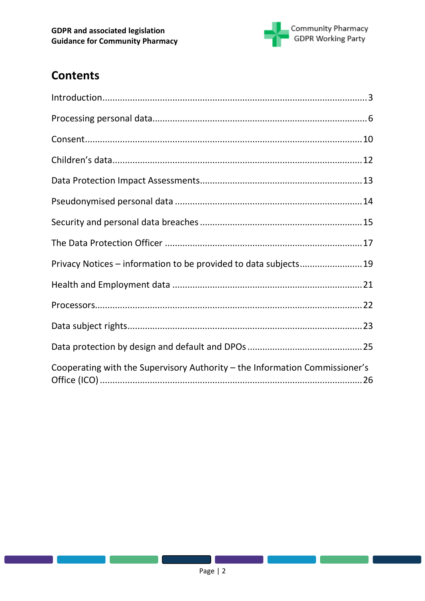

# **Contents**

| Privacy Notices - information to be provided to data subjects19             |  |
|-----------------------------------------------------------------------------|--|
|                                                                             |  |
|                                                                             |  |
|                                                                             |  |
|                                                                             |  |
| Cooperating with the Supervisory Authority - the Information Commissioner's |  |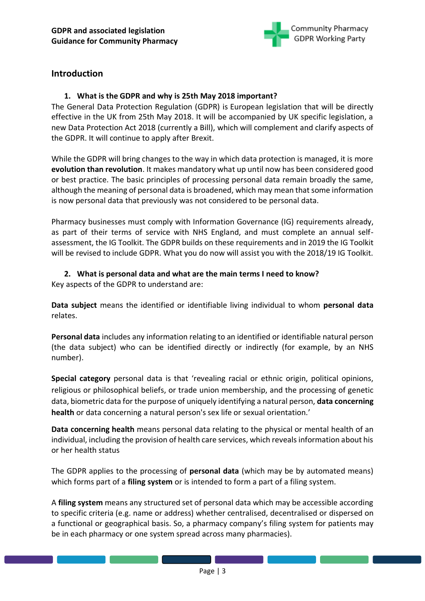

# <span id="page-2-0"></span>**Introduction**

# **1. What is the GDPR and why is 25th May 2018 important?**

The General Data Protection Regulation (GDPR) is European legislation that will be directly effective in the UK from 25th May 2018. It will be accompanied by UK specific legislation, a new Data Protection Act 2018 (currently a Bill), which will complement and clarify aspects of the GDPR. It will continue to apply after Brexit.

While the GDPR will bring changes to the way in which data protection is managed, it is more **evolution than revolution**. It makes mandatory what up until now has been considered good or best practice. The basic principles of processing personal data remain broadly the same, although the meaning of personal data is broadened, which may mean that some information is now personal data that previously was not considered to be personal data.

Pharmacy businesses must comply with Information Governance (IG) requirements already, as part of their terms of service with NHS England, and must complete an annual selfassessment, the IG Toolkit. The GDPR builds on these requirements and in 2019 the IG Toolkit will be revised to include GDPR. What you do now will assist you with the 2018/19 IG Toolkit.

### **2. What is personal data and what are the main terms I need to know?**

Key aspects of the GDPR to understand are:

**Data subject** means the identified or identifiable living individual to whom **personal data** relates.

**Personal data** includes any information relating to an identified or identifiable natural person (the data subject) who can be identified directly or indirectly (for example, by an NHS number).

**Special category** personal data is that 'revealing racial or ethnic origin, political opinions, religious or philosophical beliefs, or trade union membership, and the processing of genetic data, biometric data for the purpose of uniquely identifying a natural person, **data concerning health** or data concerning a natural person's sex life or sexual orientation.'

**Data concerning health** means personal data relating to the physical or mental health of an individual, including the provision of health care services, which reveals information about his or her health status

The GDPR applies to the processing of **personal data** (which may be by automated means) which forms part of a **filing system** or is intended to form a part of a filing system.

A **filing system** means any structured set of personal data which may be accessible according to specific criteria (e.g. name or address) whether centralised, decentralised or dispersed on a functional or geographical basis. So, a pharmacy company's filing system for patients may be in each pharmacy or one system spread across many pharmacies).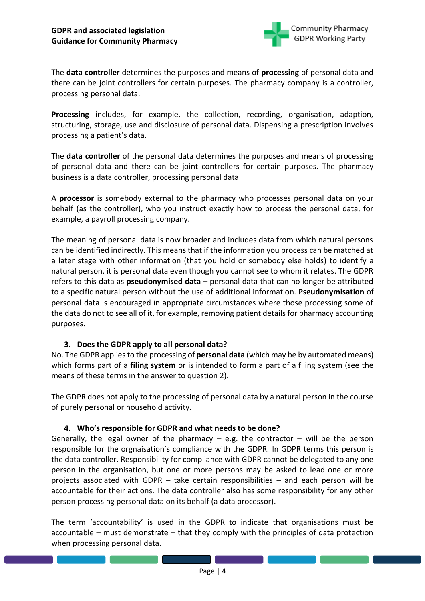

The **data controller** determines the purposes and means of **processing** of personal data and there can be joint controllers for certain purposes. The pharmacy company is a controller, processing personal data.

**Processing** includes, for example, the collection, recording, organisation, adaption, structuring, storage, use and disclosure of personal data. Dispensing a prescription involves processing a patient's data.

The **data controller** of the personal data determines the purposes and means of processing of personal data and there can be joint controllers for certain purposes. The pharmacy business is a data controller, processing personal data

A **processor** is somebody external to the pharmacy who processes personal data on your behalf (as the controller), who you instruct exactly how to process the personal data, for example, a payroll processing company.

The meaning of personal data is now broader and includes data from which natural persons can be identified indirectly. This means that if the information you process can be matched at a later stage with other information (that you hold or somebody else holds) to identify a natural person, it is personal data even though you cannot see to whom it relates. The GDPR refers to this data as **pseudonymised data** – personal data that can no longer be attributed to a specific natural person without the use of additional information. **Pseudonymisation** of personal data is encouraged in appropriate circumstances where those processing some of the data do not to see all of it, for example, removing patient details for pharmacy accounting purposes.

#### **3. Does the GDPR apply to all personal data?**

No. The GDPR applies to the processing of **personal data** (which may be by automated means) which forms part of a **filing system** or is intended to form a part of a filing system (see the means of these terms in the answer to question 2).

The GDPR does not apply to the processing of personal data by a natural person in the course of purely personal or household activity.

#### **4. Who's responsible for GDPR and what needs to be done?**

Generally, the legal owner of the pharmacy  $-$  e.g. the contractor  $-$  will be the person responsible for the orgnaisation's compliance with the GDPR. In GDPR terms this person is the data controller. Responsibility for compliance with GDPR cannot be delegated to any one person in the organisation, but one or more persons may be asked to lead one or more projects associated with GDPR – take certain responsibilities – and each person will be accountable for their actions. The data controller also has some responsibility for any other person processing personal data on its behalf (a data processor).

The term 'accountability' is used in the GDPR to indicate that organisations must be accountable – must demonstrate – that they comply with the principles of data protection when processing personal data.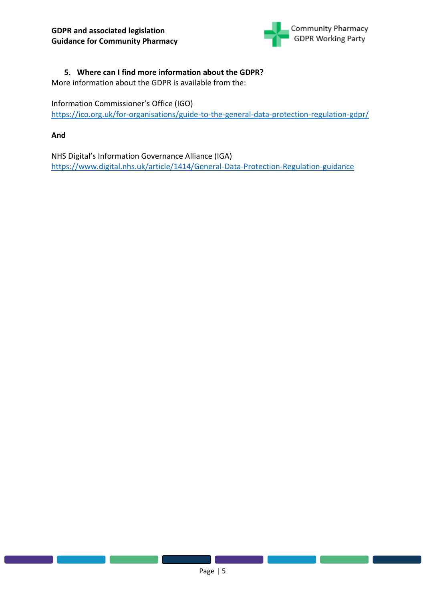

# **5. Where can I find more information about the GDPR?**

More information about the GDPR is available from the:

Information Commissioner's Office (IGO)

<https://ico.org.uk/for-organisations/guide-to-the-general-data-protection-regulation-gdpr/>

**And** 

NHS Digital's Information Governance Alliance (IGA) <https://www.digital.nhs.uk/article/1414/General-Data-Protection-Regulation-guidance>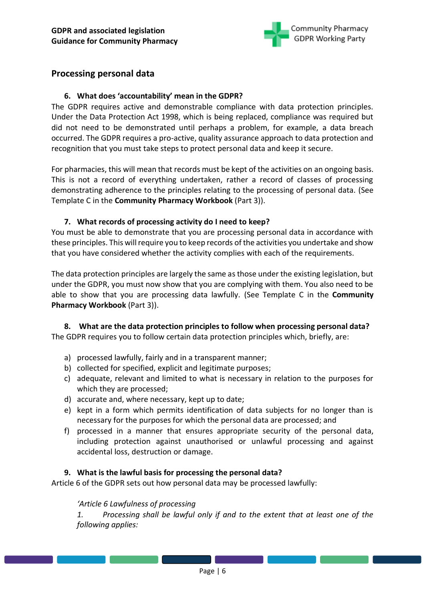

# <span id="page-5-0"></span>**Processing personal data**

## **6. What does 'accountability' mean in the GDPR?**

The GDPR requires active and demonstrable compliance with data protection principles. Under the Data Protection Act 1998, which is being replaced, compliance was required but did not need to be demonstrated until perhaps a problem, for example, a data breach occurred. The GDPR requires a pro-active, quality assurance approach to data protection and recognition that you must take steps to protect personal data and keep it secure.

For pharmacies, this will mean that records must be kept of the activities on an ongoing basis. This is not a record of everything undertaken, rather a record of classes of processing demonstrating adherence to the principles relating to the processing of personal data. (See Template C in the **Community Pharmacy Workbook** (Part 3)).

### **7. What records of processing activity do I need to keep?**

You must be able to demonstrate that you are processing personal data in accordance with these principles. This will require you to keep records of the activities you undertake and show that you have considered whether the activity complies with each of the requirements.

The data protection principles are largely the same as those under the existing legislation, but under the GDPR, you must now show that you are complying with them. You also need to be able to show that you are processing data lawfully. (See Template C in the **Community Pharmacy Workbook** (Part 3)).

**8. What are the data protection principles to follow when processing personal data?** The GDPR requires you to follow certain data protection principles which, briefly, are:

- a) processed lawfully, fairly and in a transparent manner;
- b) collected for specified, explicit and legitimate purposes;
- c) adequate, relevant and limited to what is necessary in relation to the purposes for which they are processed;
- d) accurate and, where necessary, kept up to date;
- e) kept in a form which permits identification of data subjects for no longer than is necessary for the purposes for which the personal data are processed; and
- f) processed in a manner that ensures appropriate security of the personal data, including protection against unauthorised or unlawful processing and against accidental loss, destruction or damage.

#### **9. What is the lawful basis for processing the personal data?**

Article 6 of the GDPR sets out how personal data may be processed lawfully:

#### *'Article 6 Lawfulness of processing*

*1. Processing shall be lawful only if and to the extent that at least one of the following applies:*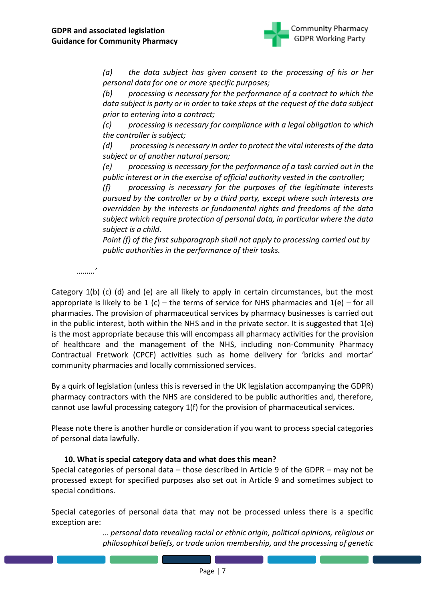

*(a) the data subject has given consent to the processing of his or her personal data for one or more specific purposes;* 

*(b) processing is necessary for the performance of a contract to which the data subject is party or in order to take steps at the request of the data subject prior to entering into a contract;* 

*(c) processing is necessary for compliance with a legal obligation to which the controller is subject;* 

*(d) processing is necessary in order to protect the vital interests of the data subject or of another natural person;* 

*(e) processing is necessary for the performance of a task carried out in the public interest or in the exercise of official authority vested in the controller;* 

*(f) processing is necessary for the purposes of the legitimate interests pursued by the controller or by a third party, except where such interests are overridden by the interests or fundamental rights and freedoms of the data subject which require protection of personal data, in particular where the data subject is a child.* 

*Point (f) of the first subparagraph shall not apply to processing carried out by public authorities in the performance of their tasks.*

*………'*

Category 1(b) (c) (d) and (e) are all likely to apply in certain circumstances, but the most appropriate is likely to be 1 (c) – the terms of service for NHS pharmacies and  $1(e)$  – for all pharmacies. The provision of pharmaceutical services by pharmacy businesses is carried out in the public interest, both within the NHS and in the private sector. It is suggested that 1(e) is the most appropriate because this will encompass all pharmacy activities for the provision of healthcare and the management of the NHS, including non-Community Pharmacy Contractual Fretwork (CPCF) activities such as home delivery for 'bricks and mortar' community pharmacies and locally commissioned services.

By a quirk of legislation (unless this is reversed in the UK legislation accompanying the GDPR) pharmacy contractors with the NHS are considered to be public authorities and, therefore, cannot use lawful processing category 1(f) for the provision of pharmaceutical services.

Please note there is another hurdle or consideration if you want to process special categories of personal data lawfully.

# **10. What is special category data and what does this mean?**

Special categories of personal data – those described in Article 9 of the GDPR – may not be processed except for specified purposes also set out in Article 9 and sometimes subject to special conditions.

Special categories of personal data that may not be processed unless there is a specific exception are:

> *… personal data revealing racial or ethnic origin, political opinions, religious or philosophical beliefs, or trade union membership, and the processing of genetic*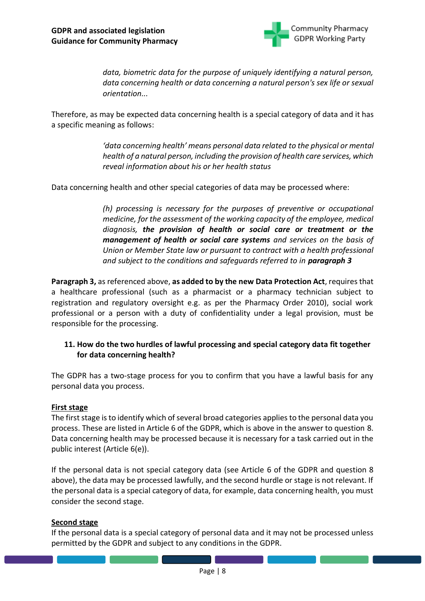

*data, biometric data for the purpose of uniquely identifying a natural person, data concerning health or data concerning a natural person's sex life or sexual orientation...*

Therefore, as may be expected data concerning health is a special category of data and it has a specific meaning as follows:

> *'data concerning health' means personal data related to the physical or mental health of a natural person, including the provision of health care services, which reveal information about his or her health status*

Data concerning health and other special categories of data may be processed where:

*(h) processing is necessary for the purposes of preventive or occupational medicine, for the assessment of the working capacity of the employee, medical diagnosis, the provision of health or social care or treatment or the management of health or social care systems and services on the basis of Union or Member State law or pursuant to contract with a health professional and subject to the conditions and safeguards referred to in paragraph 3*

**Paragraph 3,** as referenced above, **as added to by the new Data Protection Act**, requires that a healthcare professional (such as a pharmacist or a pharmacy technician subject to registration and regulatory oversight e.g. as per the Pharmacy Order 2010), social work professional or a person with a duty of confidentiality under a legal provision, must be responsible for the processing.

# **11. How do the two hurdles of lawful processing and special category data fit together for data concerning health?**

The GDPR has a two-stage process for you to confirm that you have a lawful basis for any personal data you process.

#### **First stage**

The first stage is to identify which of several broad categories applies to the personal data you process. These are listed in Article 6 of the GDPR, which is above in the answer to question 8. Data concerning health may be processed because it is necessary for a task carried out in the public interest (Article 6(e)).

If the personal data is not special category data (see Article 6 of the GDPR and question 8 above), the data may be processed lawfully, and the second hurdle or stage is not relevant. If the personal data is a special category of data, for example, data concerning health, you must consider the second stage.

#### **Second stage**

If the personal data is a special category of personal data and it may not be processed unless permitted by the GDPR and subject to any conditions in the GDPR.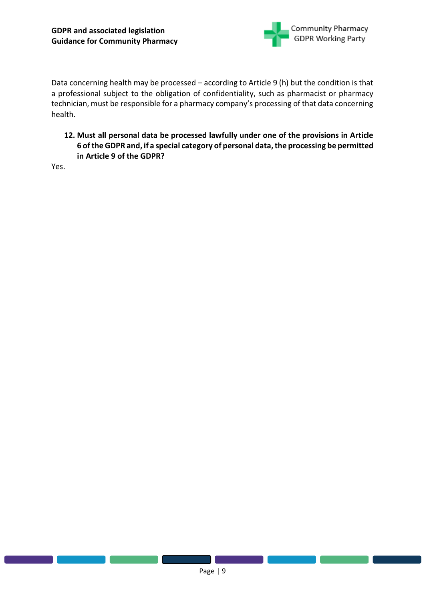

Data concerning health may be processed – according to Article 9 (h) but the condition is that a professional subject to the obligation of confidentiality, such as pharmacist or pharmacy technician, must be responsible for a pharmacy company's processing of that data concerning health.

**12. Must all personal data be processed lawfully under one of the provisions in Article 6 of the GDPR and, if a special category of personal data, the processing be permitted in Article 9 of the GDPR?**

Yes.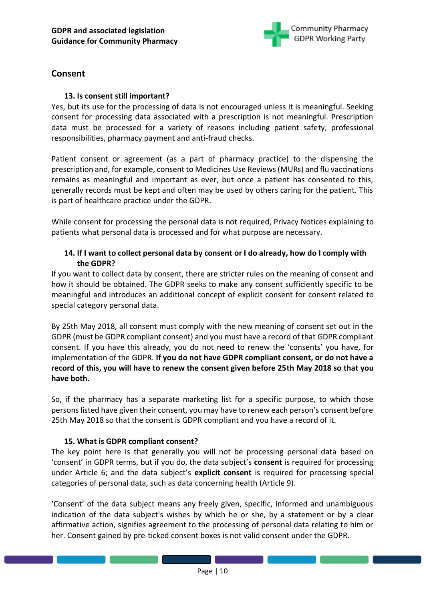

# <span id="page-9-0"></span>**Consent**

# **13. Is consent still important?**

Yes, but its use for the processing of data is not encouraged unless it is meaningful. Seeking consent for processing data associated with a prescription is not meaningful. Prescription data must be processed for a variety of reasons including patient safety, professional responsibilities, pharmacy payment and anti-fraud checks.

Patient consent or agreement (as a part of pharmacy practice) to the dispensing the prescription and, for example, consent to Medicines Use Reviews (MURs) and flu vaccinations remains as meaningful and important as ever, but once a patient has consented to this, generally records must be kept and often may be used by others caring for the patient. This is part of healthcare practice under the GDPR.

While consent for processing the personal data is not required, Privacy Notices explaining to patients what personal data is processed and for what purpose are necessary.

# **14. If I want to collect personal data by consent or I do already, how do I comply with the GDPR?**

If you want to collect data by consent, there are stricter rules on the meaning of consent and how it should be obtained. The GDPR seeks to make any consent sufficiently specific to be meaningful and introduces an additional concept of explicit consent for consent related to special category personal data.

By 25th May 2018, all consent must comply with the new meaning of consent set out in the GDPR (must be GDPR compliant consent) and you must have a record of that GDPR compliant consent. If you have this already, you do not need to renew the 'consents' you have, for implementation of the GDPR. **If you do not have GDPR compliant consent, or do not have a record of this, you will have to renew the consent given before 25th May 2018 so that you have both.**

So, if the pharmacy has a separate marketing list for a specific purpose, to which those persons listed have given their consent, you may have to renew each person's consent before 25th May 2018 so that the consent is GDPR compliant and you have a record of it.

# **15. What is GDPR compliant consent?**

The key point here is that generally you will not be processing personal data based on 'consent' in GDPR terms, but if you do, the data subject's **consent** is required for processing under Article 6; and the data subject's **explicit consent** is required for processing special categories of personal data, such as data concerning health (Article 9).

'Consent' of the data subject means any freely given, specific, informed and unambiguous indication of the data subject's wishes by which he or she, by a statement or by a clear affirmative action, signifies agreement to the processing of personal data relating to him or her. Consent gained by pre-ticked consent boxes is not valid consent under the GDPR.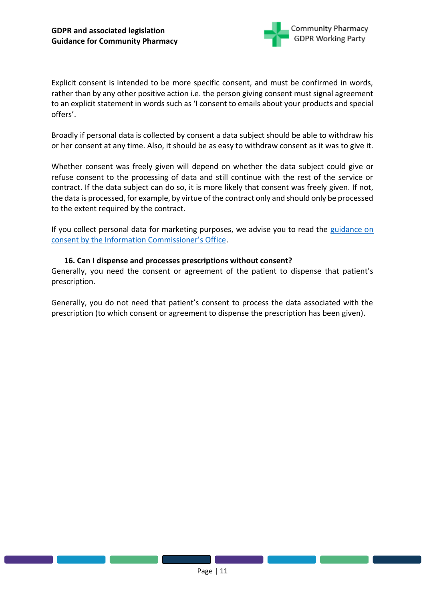

Explicit consent is intended to be more specific consent, and must be confirmed in words, rather than by any other positive action i.e. the person giving consent must signal agreement to an explicit statement in words such as 'I consent to emails about your products and special offers'.

Broadly if personal data is collected by consent a data subject should be able to withdraw his or her consent at any time. Also, it should be as easy to withdraw consent as it was to give it.

Whether consent was freely given will depend on whether the data subject could give or refuse consent to the processing of data and still continue with the rest of the service or contract. If the data subject can do so, it is more likely that consent was freely given. If not, the data is processed, for example, by virtue of the contract only and should only be processed to the extent required by the contract.

If you collect personal data for marketing purposes, we advise you to read the guidance on [consent by the Information Commissioner's Office](https://ico.org.uk/for-organisations/guide-to-the-general-data-protection-regulation-gdpr/lawful-basis-for-processing/consent/).

#### **16. Can I dispense and processes prescriptions without consent?**

Generally, you need the consent or agreement of the patient to dispense that patient's prescription.

Generally, you do not need that patient's consent to process the data associated with the prescription (to which consent or agreement to dispense the prescription has been given).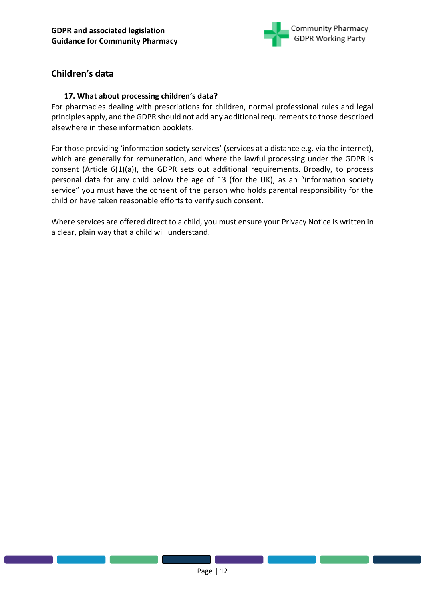

# <span id="page-11-0"></span>**Children's data**

# **17. What about processing children's data?**

For pharmacies dealing with prescriptions for children, normal professional rules and legal principles apply, and the GDPR should not add any additional requirements to those described elsewhere in these information booklets.

For those providing 'information society services' (services at a distance e.g. via the internet), which are generally for remuneration, and where the lawful processing under the GDPR is consent (Article 6(1)(a)), the GDPR sets out additional requirements. Broadly, to process personal data for any child below the age of 13 (for the UK), as an "information society service" you must have the consent of the person who holds parental responsibility for the child or have taken reasonable efforts to verify such consent.

Where services are offered direct to a child, you must ensure your Privacy Notice is written in a clear, plain way that a child will understand.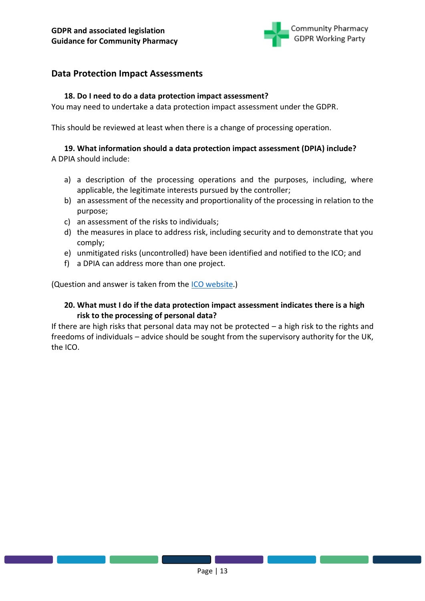

# <span id="page-12-0"></span>**Data Protection Impact Assessments**

### **18. Do I need to do a data protection impact assessment?**

You may need to undertake a data protection impact assessment under the GDPR.

This should be reviewed at least when there is a change of processing operation.

# **19. What information should a data protection impact assessment (DPIA) include?**

A DPIA should include:

- a) a description of the processing operations and the purposes, including, where applicable, the legitimate interests pursued by the controller;
- b) an assessment of the necessity and proportionality of the processing in relation to the purpose;
- c) an assessment of the risks to individuals;
- d) the measures in place to address risk, including security and to demonstrate that you comply;
- e) unmitigated risks (uncontrolled) have been identified and notified to the ICO; and
- f) a DPIA can address more than one project.

(Question and answer is taken from the ICO [website.](https://ico.org.uk/for-organisations/guide-to-the-general-data-protection-regulation-gdpr/accountability-and-governance/data-protection-impact-assessments/))

# **20. What must I do if the data protection impact assessment indicates there is a high risk to the processing of personal data?**

If there are high risks that personal data may not be protected  $-$  a high risk to the rights and freedoms of individuals – advice should be sought from the supervisory authority for the UK, the ICO.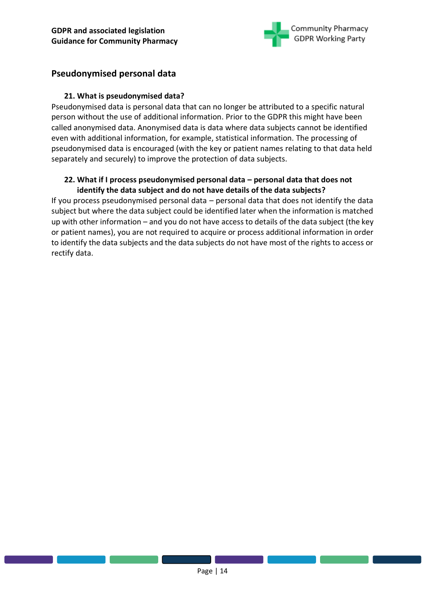

# <span id="page-13-0"></span>**Pseudonymised personal data**

## **21. What is pseudonymised data?**

Pseudonymised data is personal data that can no longer be attributed to a specific natural person without the use of additional information. Prior to the GDPR this might have been called anonymised data. Anonymised data is data where data subjects cannot be identified even with additional information, for example, statistical information. The processing of pseudonymised data is encouraged (with the key or patient names relating to that data held separately and securely) to improve the protection of data subjects.

# **22. What if I process pseudonymised personal data – personal data that does not identify the data subject and do not have details of the data subjects?**

If you process pseudonymised personal data – personal data that does not identify the data subject but where the data subject could be identified later when the information is matched up with other information – and you do not have access to details of the data subject (the key or patient names), you are not required to acquire or process additional information in order to identify the data subjects and the data subjects do not have most of the rights to access or rectify data.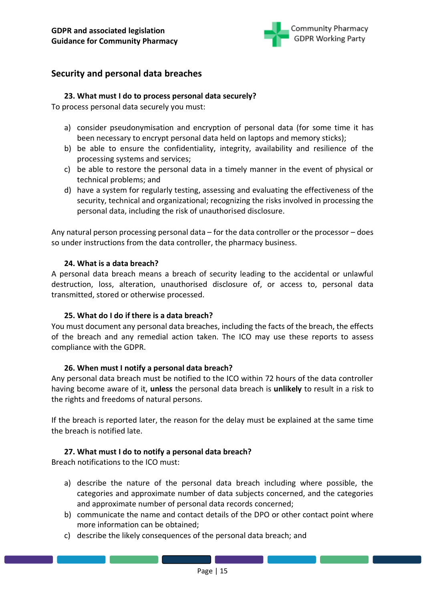

# <span id="page-14-0"></span>**Security and personal data breaches**

## **23. What must I do to process personal data securely?**

To process personal data securely you must:

- a) consider pseudonymisation and encryption of personal data (for some time it has been necessary to encrypt personal data held on laptops and memory sticks);
- b) be able to ensure the confidentiality, integrity, availability and resilience of the processing systems and services;
- c) be able to restore the personal data in a timely manner in the event of physical or technical problems; and
- d) have a system for regularly testing, assessing and evaluating the effectiveness of the security, technical and organizational; recognizing the risks involved in processing the personal data, including the risk of unauthorised disclosure.

Any natural person processing personal data – for the data controller or the processor – does so under instructions from the data controller, the pharmacy business.

#### **24. What is a data breach?**

A personal data breach means a breach of security leading to the accidental or unlawful destruction, loss, alteration, unauthorised disclosure of, or access to, personal data transmitted, stored or otherwise processed.

#### **25. What do I do if there is a data breach?**

You must document any personal data breaches, including the facts of the breach, the effects of the breach and any remedial action taken. The ICO may use these reports to assess compliance with the GDPR.

#### **26. When must I notify a personal data breach?**

Any personal data breach must be notified to the ICO within 72 hours of the data controller having become aware of it, **unless** the personal data breach is **unlikely** to result in a risk to the rights and freedoms of natural persons.

If the breach is reported later, the reason for the delay must be explained at the same time the breach is notified late.

#### **27. What must I do to notify a personal data breach?**

Breach notifications to the ICO must:

- a) describe the nature of the personal data breach including where possible, the categories and approximate number of data subjects concerned, and the categories and approximate number of personal data records concerned;
- b) communicate the name and contact details of the DPO or other contact point where more information can be obtained;
- c) describe the likely consequences of the personal data breach; and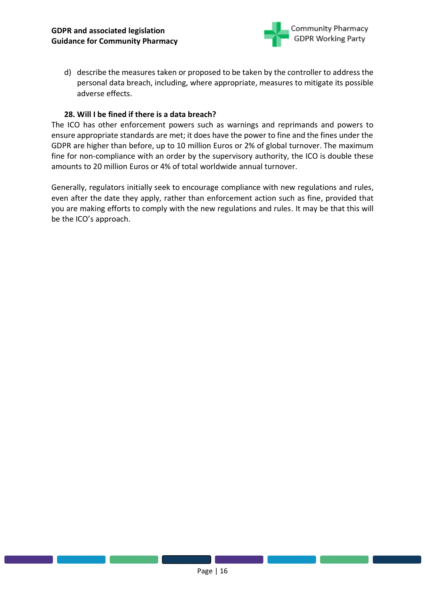

d) describe the measures taken or proposed to be taken by the controller to address the personal data breach, including, where appropriate, measures to mitigate its possible adverse effects.

#### **28. Will I be fined if there is a data breach?**

The ICO has other enforcement powers such as warnings and reprimands and powers to ensure appropriate standards are met; it does have the power to fine and the fines under the GDPR are higher than before, up to 10 million Euros or 2% of global turnover. The maximum fine for non-compliance with an order by the supervisory authority, the ICO is double these amounts to 20 million Euros or 4% of total worldwide annual turnover.

Generally, regulators initially seek to encourage compliance with new regulations and rules, even after the date they apply, rather than enforcement action such as fine, provided that you are making efforts to comply with the new regulations and rules. It may be that this will be the ICO's approach.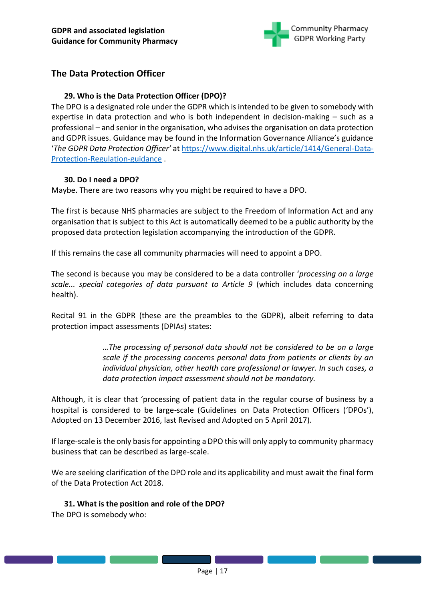

# <span id="page-16-0"></span>**The Data Protection Officer**

# **29. Who is the Data Protection Officer (DPO)?**

The DPO is a designated role under the GDPR which is intended to be given to somebody with expertise in data protection and who is both independent in decision-making – such as a professional – and senior in the organisation, who advises the organisation on data protection and GDPR issues. Guidance may be found in the Information Governance Alliance's guidance '*The GDPR Data Protection Officer'* a[t https://www.digital.nhs.uk/article/1414/General-Data-](https://www.digital.nhs.uk/article/1414/General-Data-Protection-Regulation-guidance)[Protection-Regulation-guidance](https://www.digital.nhs.uk/article/1414/General-Data-Protection-Regulation-guidance) .

# **30. Do I need a DPO?**

Maybe. There are two reasons why you might be required to have a DPO.

The first is because NHS pharmacies are subject to the Freedom of Information Act and any organisation that is subject to this Act is automatically deemed to be a public authority by the proposed data protection legislation accompanying the introduction of the GDPR.

If this remains the case all community pharmacies will need to appoint a DPO.

The second is because you may be considered to be a data controller '*processing on a large scale... special categories of data pursuant to Article 9* (which includes data concerning health).

Recital 91 in the GDPR (these are the preambles to the GDPR), albeit referring to data protection impact assessments (DPIAs) states:

> *…The processing of personal data should not be considered to be on a large scale if the processing concerns personal data from patients or clients by an individual physician, other health care professional or lawyer. In such cases, a data protection impact assessment should not be mandatory.*

Although, it is clear that 'processing of patient data in the regular course of business by a hospital is considered to be large-scale (Guidelines on Data Protection Officers ('DPOs'), Adopted on 13 December 2016, last Revised and Adopted on 5 April 2017).

If large-scale is the only basis for appointing a DPO this will only apply to community pharmacy business that can be described as large-scale.

We are seeking clarification of the DPO role and its applicability and must await the final form of the Data Protection Act 2018.

# **31. What is the position and role of the DPO?**

The DPO is somebody who: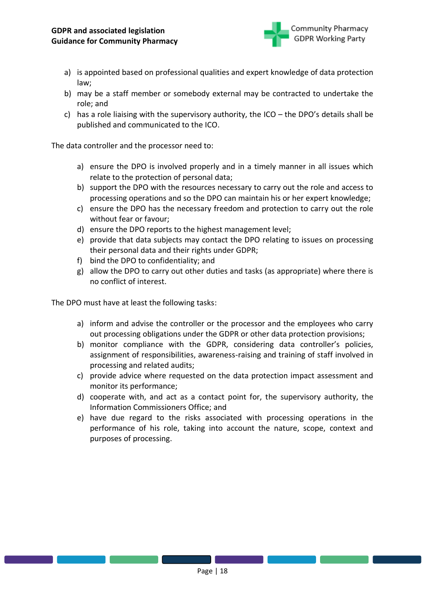

- a) is appointed based on professional qualities and expert knowledge of data protection law;
- b) may be a staff member or somebody external may be contracted to undertake the role; and
- c) has a role liaising with the supervisory authority, the ICO the DPO's details shall be published and communicated to the ICO.

The data controller and the processor need to:

- a) ensure the DPO is involved properly and in a timely manner in all issues which relate to the protection of personal data;
- b) support the DPO with the resources necessary to carry out the role and access to processing operations and so the DPO can maintain his or her expert knowledge;
- c) ensure the DPO has the necessary freedom and protection to carry out the role without fear or favour;
- d) ensure the DPO reports to the highest management level;
- e) provide that data subjects may contact the DPO relating to issues on processing their personal data and their rights under GDPR;
- f) bind the DPO to confidentiality; and
- g) allow the DPO to carry out other duties and tasks (as appropriate) where there is no conflict of interest.

The DPO must have at least the following tasks:

- a) inform and advise the controller or the processor and the employees who carry out processing obligations under the GDPR or other data protection provisions;
- b) monitor compliance with the GDPR, considering data controller's policies, assignment of responsibilities, awareness-raising and training of staff involved in processing and related audits;
- c) provide advice where requested on the data protection impact assessment and monitor its performance;
- d) cooperate with, and act as a contact point for, the supervisory authority, the Information Commissioners Office; and
- e) have due regard to the risks associated with processing operations in the performance of his role, taking into account the nature, scope, context and purposes of processing.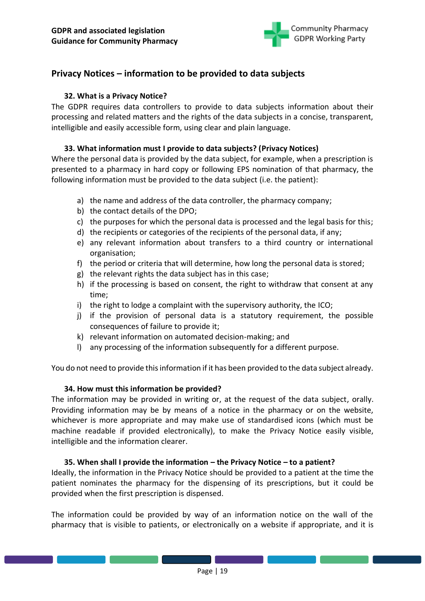

# <span id="page-18-0"></span>**Privacy Notices – information to be provided to data subjects**

### **32. What is a Privacy Notice?**

The GDPR requires data controllers to provide to data subjects information about their processing and related matters and the rights of the data subjects in a concise, transparent, intelligible and easily accessible form, using clear and plain language.

#### **33. What information must I provide to data subjects? (Privacy Notices)**

Where the personal data is provided by the data subject, for example, when a prescription is presented to a pharmacy in hard copy or following EPS nomination of that pharmacy, the following information must be provided to the data subject (i.e. the patient):

- a) the name and address of the data controller, the pharmacy company;
- b) the contact details of the DPO;
- c) the purposes for which the personal data is processed and the legal basis for this;
- d) the recipients or categories of the recipients of the personal data, if any;
- e) any relevant information about transfers to a third country or international organisation;
- f) the period or criteria that will determine, how long the personal data is stored;
- g) the relevant rights the data subject has in this case;
- h) if the processing is based on consent, the right to withdraw that consent at any time;
- i) the right to lodge a complaint with the supervisory authority, the ICO;
- j) if the provision of personal data is a statutory requirement, the possible consequences of failure to provide it;
- k) relevant information on automated decision-making; and
- l) any processing of the information subsequently for a different purpose.

You do not need to provide this information if it has been provided to the data subject already.

#### **34. How must this information be provided?**

The information may be provided in writing or, at the request of the data subject, orally. Providing information may be by means of a notice in the pharmacy or on the website, whichever is more appropriate and may make use of standardised icons (which must be machine readable if provided electronically), to make the Privacy Notice easily visible, intelligible and the information clearer.

#### **35. When shall I provide the information – the Privacy Notice – to a patient?**

Ideally, the information in the Privacy Notice should be provided to a patient at the time the patient nominates the pharmacy for the dispensing of its prescriptions, but it could be provided when the first prescription is dispensed.

The information could be provided by way of an information notice on the wall of the pharmacy that is visible to patients, or electronically on a website if appropriate, and it is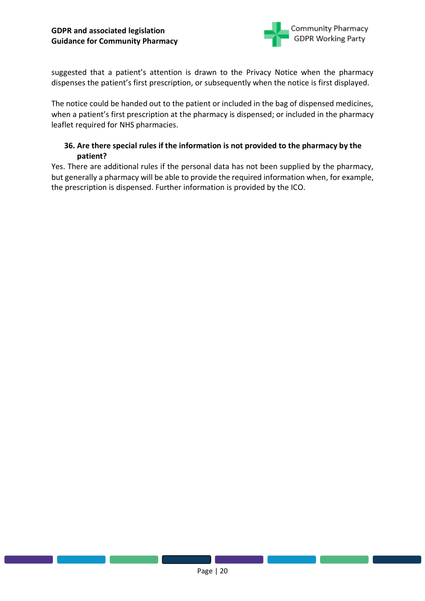

suggested that a patient's attention is drawn to the Privacy Notice when the pharmacy dispenses the patient's first prescription, or subsequently when the notice is first displayed.

The notice could be handed out to the patient or included in the bag of dispensed medicines, when a patient's first prescription at the pharmacy is dispensed; or included in the pharmacy leaflet required for NHS pharmacies.

# **36. Are there special rules if the information is not provided to the pharmacy by the patient?**

Yes. There are additional rules if the personal data has not been supplied by the pharmacy, but generally a pharmacy will be able to provide the required information when, for example, the prescription is dispensed. Further information is provided by the ICO.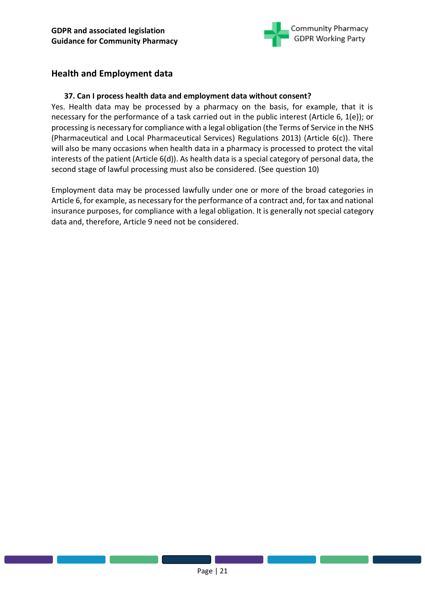

# <span id="page-20-0"></span>**Health and Employment data**

## **37. Can I process health data and employment data without consent?**

Yes. Health data may be processed by a pharmacy on the basis, for example, that it is necessary for the performance of a task carried out in the public interest (Article 6, 1(e)); or processing is necessary for compliance with a legal obligation (the Terms of Service in the NHS (Pharmaceutical and Local Pharmaceutical Services) Regulations 2013) (Article 6(c)). There will also be many occasions when health data in a pharmacy is processed to protect the vital interests of the patient (Article 6(d)). As health data is a special category of personal data, the second stage of lawful processing must also be considered. (See question 10)

Employment data may be processed lawfully under one or more of the broad categories in Article 6, for example, as necessary for the performance of a contract and, for tax and national insurance purposes, for compliance with a legal obligation. It is generally not special category data and, therefore, Article 9 need not be considered.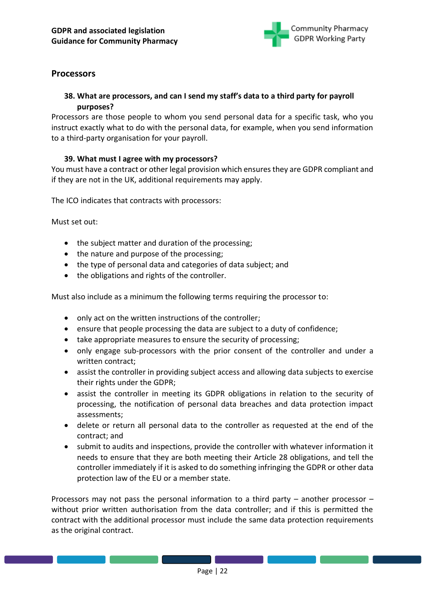

# <span id="page-21-0"></span>**Processors**

# **38. What are processors, and can I send my staff's data to a third party for payroll purposes?**

Processors are those people to whom you send personal data for a specific task, who you instruct exactly what to do with the personal data, for example, when you send information to a third-party organisation for your payroll.

### **39. What must I agree with my processors?**

You must have a contract or other legal provision which ensures they are GDPR compliant and if they are not in the UK, additional requirements may apply.

The ICO indicates that contracts with processors:

Must set out:

- the subject matter and duration of the processing;
- the nature and purpose of the processing;
- the type of personal data and categories of data subject; and
- the obligations and rights of the controller.

Must also include as a minimum the following terms requiring the processor to:

- only act on the written instructions of the controller;
- ensure that people processing the data are subject to a duty of confidence;
- take appropriate measures to ensure the security of processing;
- only engage sub-processors with the prior consent of the controller and under a written contract;
- assist the controller in providing subject access and allowing data subjects to exercise their rights under the GDPR;
- assist the controller in meeting its GDPR obligations in relation to the security of processing, the notification of personal data breaches and data protection impact assessments;
- delete or return all personal data to the controller as requested at the end of the contract; and
- submit to audits and inspections, provide the controller with whatever information it needs to ensure that they are both meeting their Article 28 obligations, and tell the controller immediately if it is asked to do something infringing the GDPR or other data protection law of the EU or a member state.

Processors may not pass the personal information to a third party – another processor – without prior written authorisation from the data controller; and if this is permitted the contract with the additional processor must include the same data protection requirements as the original contract.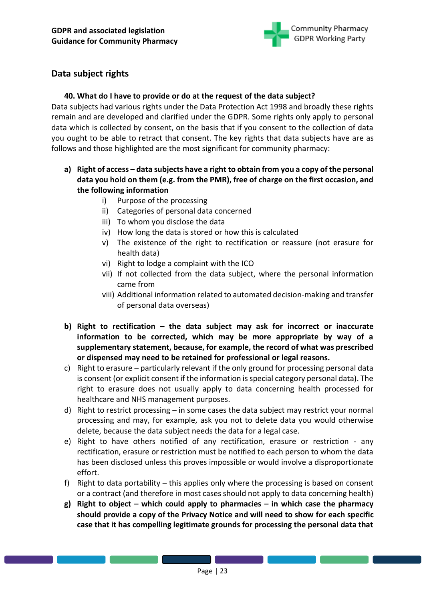

# <span id="page-22-0"></span>**Data subject rights**

## **40. What do I have to provide or do at the request of the data subject?**

Data subjects had various rights under the Data Protection Act 1998 and broadly these rights remain and are developed and clarified under the GDPR. Some rights only apply to personal data which is collected by consent, on the basis that if you consent to the collection of data you ought to be able to retract that consent. The key rights that data subjects have are as follows and those highlighted are the most significant for community pharmacy:

- **a) Right of access – data subjects have a right to obtain from you a copy of the personal data you hold on them (e.g. from the PMR), free of charge on the first occasion, and the following information**
	- i) Purpose of the processing
	- ii) Categories of personal data concerned
	- iii) To whom you disclose the data
	- iv) How long the data is stored or how this is calculated
	- v) The existence of the right to rectification or reassure (not erasure for health data)
	- vi) Right to lodge a complaint with the ICO
	- vii) If not collected from the data subject, where the personal information came from
	- viii) Additional information related to automated decision-making and transfer of personal data overseas)
- **b) Right to rectification – the data subject may ask for incorrect or inaccurate information to be corrected, which may be more appropriate by way of a supplementary statement, because, for example, the record of what was prescribed or dispensed may need to be retained for professional or legal reasons.**
- c) Right to erasure particularly relevant if the only ground for processing personal data is consent (or explicit consent if the information is special category personal data). The right to erasure does not usually apply to data concerning health processed for healthcare and NHS management purposes.
- d) Right to restrict processing in some cases the data subject may restrict your normal processing and may, for example, ask you not to delete data you would otherwise delete, because the data subject needs the data for a legal case.
- e) Right to have others notified of any rectification, erasure or restriction any rectification, erasure or restriction must be notified to each person to whom the data has been disclosed unless this proves impossible or would involve a disproportionate effort.
- f) Right to data portability this applies only where the processing is based on consent or a contract (and therefore in most cases should not apply to data concerning health)
- **g) Right to object – which could apply to pharmacies – in which case the pharmacy should provide a copy of the Privacy Notice and will need to show for each specific case that it has compelling legitimate grounds for processing the personal data that**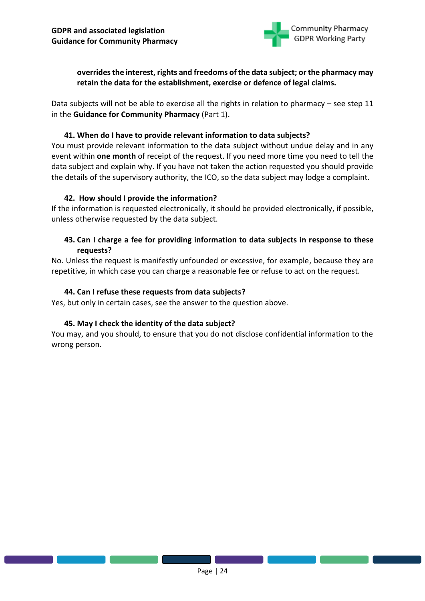

# **overrides the interest, rights and freedoms of the data subject; or the pharmacy may retain the data for the establishment, exercise or defence of legal claims.**

Data subjects will not be able to exercise all the rights in relation to pharmacy – see step 11 in the **Guidance for Community Pharmacy** (Part 1).

### **41. When do I have to provide relevant information to data subjects?**

You must provide relevant information to the data subject without undue delay and in any event within **one month** of receipt of the request. If you need more time you need to tell the data subject and explain why. If you have not taken the action requested you should provide the details of the supervisory authority, the ICO, so the data subject may lodge a complaint.

### **42. How should I provide the information?**

If the information is requested electronically, it should be provided electronically, if possible, unless otherwise requested by the data subject.

# **43. Can I charge a fee for providing information to data subjects in response to these requests?**

No. Unless the request is manifestly unfounded or excessive, for example, because they are repetitive, in which case you can charge a reasonable fee or refuse to act on the request.

### **44. Can I refuse these requests from data subjects?**

Yes, but only in certain cases, see the answer to the question above.

#### **45. May I check the identity of the data subject?**

You may, and you should, to ensure that you do not disclose confidential information to the wrong person.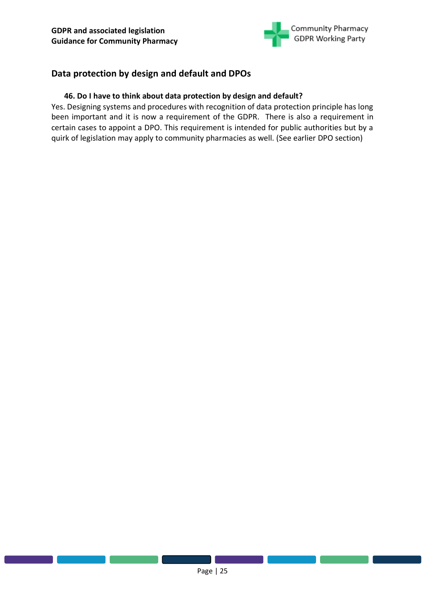

# <span id="page-24-0"></span>**Data protection by design and default and DPOs**

### **46. Do I have to think about data protection by design and default?**

Yes. Designing systems and procedures with recognition of data protection principle has long been important and it is now a requirement of the GDPR. There is also a requirement in certain cases to appoint a DPO. This requirement is intended for public authorities but by a quirk of legislation may apply to community pharmacies as well. (See earlier DPO section)